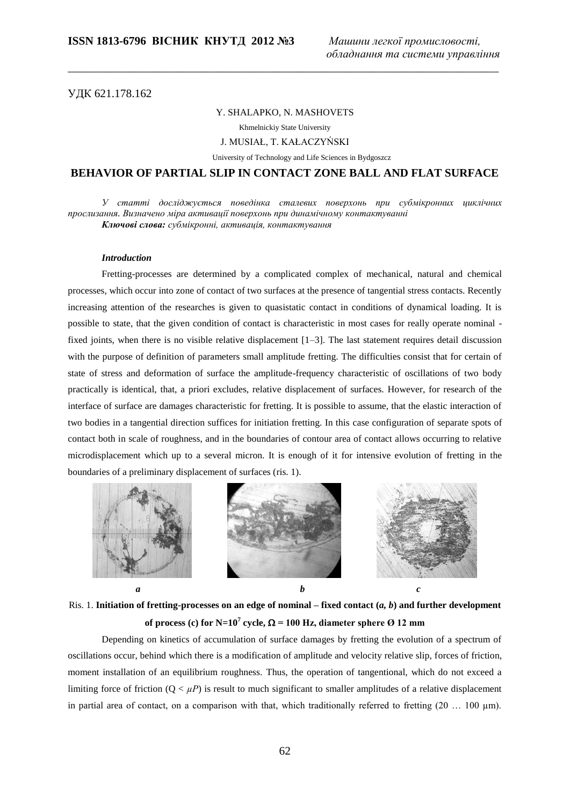УДК 621.178.162

#### Y. SHALAPKO, N. MASHOVETS

\_\_\_\_\_\_\_\_\_\_\_\_\_\_\_\_\_\_\_\_\_\_\_\_\_\_\_\_\_\_\_\_\_\_\_\_\_\_\_\_\_\_\_\_\_\_\_\_\_\_\_\_\_\_\_\_\_\_\_\_\_\_\_\_\_\_\_\_\_\_\_\_\_\_\_

Khmelnickiy State University

J. MUSIAŁ, T. KAŁACZYŃSKI

University of Technology and Life Sciences in Bydgoszcz

# **BEHAVIOR OF PARTIAL SLIP IN CONTACT ZONE BALL AND FLAT SURFACE**

*У статті досліджується поведінка сталевих поверхонь при субмікронних циклічних прослизання. Визначено міра активації поверхонь при динамічному контактуванні Ключові слова: субмікронні, активація, контактування*

### *Introduction*

Fretting-processes are determined by a complicated complex of mechanical, natural and chemical processes, which occur into zone of contact of two surfaces at the presence of tangential stress contacts. Recently increasing attention of the researches is given to quasistatic contact in conditions of dynamical loading. It is possible to state, that the given condition of contact is characteristic in most cases for really operate nominal fixed joints, when there is no visible relative displacement [1–3]. The last statement requires detail discussion with the purpose of definition of parameters small amplitude fretting. The difficulties consist that for certain of state of stress and deformation of surface the amplitude-frequency characteristic of oscillations of two body practically is identical, that, a priori excludes, relative displacement of surfaces. However, for research of the interface of surface are damages characteristic for fretting. It is possible to assume, that the elastic interaction of two bodies in a tangential direction suffices for initiation fretting. In this case configuration of separate spots of contact both in scale of roughness, and in the boundaries of contour area of contact allows occurring to relative microdisplacement which up to a several micron. It is enough of it for intensive evolution of fretting in the boundaries of a preliminary displacement of surfaces (ris. 1).









Ris. 1. **Initiation of fretting-processes on an edge of nominal – fixed contact (***a, b***) and further development of process (c) for N=10<sup>7</sup> cycle,**  $\Omega$  **= 100 Hz, diameter sphere Ø 12 mm** 

Depending on kinetics of accumulation of surface damages by fretting the evolution of a spectrum of oscillations occur, behind which there is a modification of amplitude and velocity relative slip, forces of friction, moment installation of an equilibrium roughness. Thus, the operation of tangentional, which do not exceed a limiting force of friction  $(Q < \mu P)$  is result to much significant to smaller amplitudes of a relative displacement in partial area of contact, on a comparison with that, which traditionally referred to fretting  $(20 \dots 100 \mu m)$ .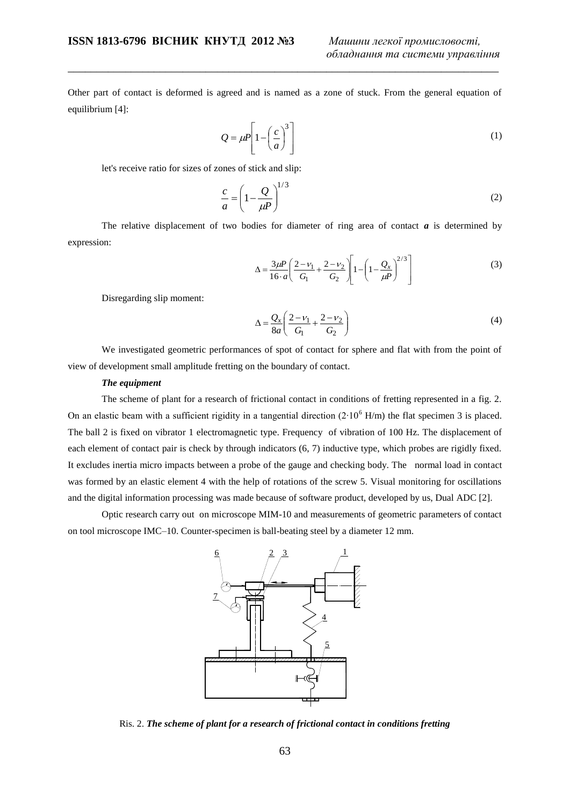Other part of contact is deformed is agreed and is named as a zone of stuck. From the general equation of equilibrium [4]:

\_\_\_\_\_\_\_\_\_\_\_\_\_\_\_\_\_\_\_\_\_\_\_\_\_\_\_\_\_\_\_\_\_\_\_\_\_\_\_\_\_\_\_\_\_\_\_\_\_\_\_\_\_\_\_\_\_\_\_\_\_\_\_\_\_\_\_\_\_\_\_\_\_\_\_

$$
Q = \mu P \left[ 1 - \left(\frac{c}{a}\right)^3 \right] \tag{1}
$$

let's receive ratio for sizes of zones of stick and slip:

$$
\frac{c}{a} = \left(1 - \frac{Q}{\mu P}\right)^{1/3} \tag{2}
$$

The relative displacement of two bodies for diameter of ring area of contact  $a$  is determined by expression:

$$
\Delta = \frac{3\mu P}{16 \cdot a} \left( \frac{2 - v_1}{G_1} + \frac{2 - v_2}{G_2} \right) \left[ 1 - \left( 1 - \frac{Q_x}{\mu P} \right)^{2/3} \right] \tag{3}
$$

Disregarding slip moment:

$$
\Delta = \frac{Q_x}{8a} \left( \frac{2 - \nu_1}{G_1} + \frac{2 - \nu_2}{G_2} \right)
$$
(4)

We investigated geometric performances of spot of contact for sphere and flat with from the point of view of development small amplitude fretting on the boundary of contact.

### *The equipment*

The scheme of plant for a research of frictional contact in conditions of fretting represented in a fig. 2. On an elastic beam with a sufficient rigidity in a tangential direction  $(2.10^6 \text{ H/m})$  the flat specimen 3 is placed. The ball 2 is fixed on vibrator 1 electromagnetic type. Frequency of vibration of 100 Hz. The displacement of each element of contact pair is check by through indicators (6, 7) inductive type, which probes are rigidly fixed. It excludes inertia micro impacts between a probe of the gauge and checking body. The normal load in contact was formed by an elastic element 4 with the help of rotations of the screw 5. Visual monitoring for oscillations and the digital information processing was made because of software product, developed by us, Dual ADC [2].

Optic research carry out on microscope MIM-10 and measurements of geometric parameters of contact on tool microscope IMC–10. Counter-specimen is ball-beating steel by a diameter 12 mm.



Ris. 2. *The scheme of plant for a research of frictional contact in conditions fretting*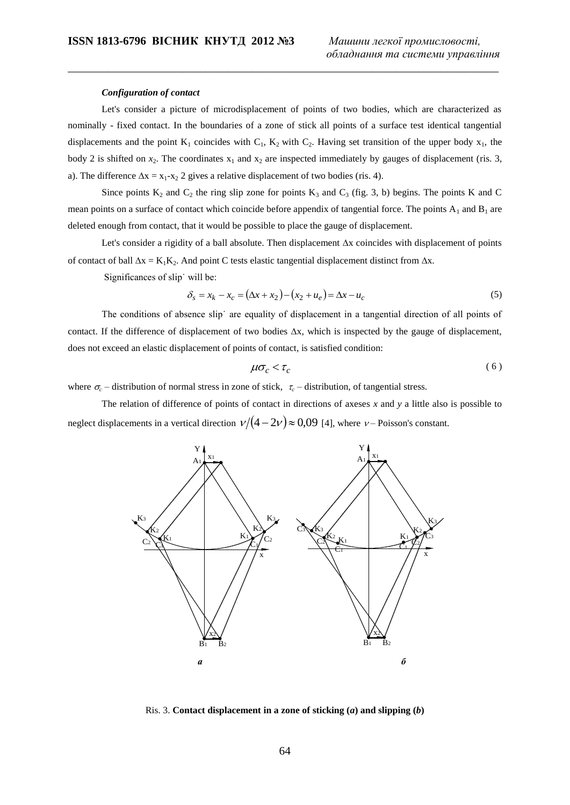#### *Configuration of contact*

Let's consider a picture of microdisplacement of points of two bodies, which are characterized as nominally - fixed contact. In the boundaries of a zone of stick all points of a surface test identical tangential displacements and the point  $K_1$  coincides with  $C_1$ ,  $K_2$  with  $C_2$ . Having set transition of the upper body  $x_1$ , the body 2 is shifted on  $x_2$ . The coordinates  $x_1$  and  $x_2$  are inspected immediately by gauges of displacement (ris. 3, a). The difference  $\Delta x = x_1 - x_2$  2 gives a relative displacement of two bodies (ris. 4).

\_\_\_\_\_\_\_\_\_\_\_\_\_\_\_\_\_\_\_\_\_\_\_\_\_\_\_\_\_\_\_\_\_\_\_\_\_\_\_\_\_\_\_\_\_\_\_\_\_\_\_\_\_\_\_\_\_\_\_\_\_\_\_\_\_\_\_\_\_\_\_\_\_\_\_

Since points  $K_2$  and  $C_2$  the ring slip zone for points  $K_3$  and  $C_3$  (fig. 3, b) begins. The points K and C mean points on a surface of contact which coincide before appendix of tangential force. The points  $A_1$  and  $B_1$  are deleted enough from contact, that it would be possible to place the gauge of displacement.

Let's consider a rigidity of a ball absolute. Then displacement  $\Delta x$  coincides with displacement of points of contact of ball  $\Delta x = K_1K_2$ . And point C tests elastic tangential displacement distinct from  $\Delta x$ .

Significances of slip˙ will be:

$$
\delta_s = x_k - x_c = (\Delta x + x_2) - (x_2 + u_e) = \Delta x - u_c \tag{5}
$$

The conditions of absence slip˙ are equality of displacement in a tangential direction of all points of contact. If the difference of displacement of two bodies  $\Delta x$ , which is inspected by the gauge of displacement, does not exceed an elastic displacement of points of contact, is satisfied condition:

$$
\mu \sigma_c < \tau_c \tag{6}
$$

where  $\sigma_c$  – distribution of normal stress in zone of stick,  $\tau_c$  – distribution, of tangential stress.

The relation of difference of points of contact in directions of axeses *x* and *y* a little also is possible to neglect displacements in a vertical direction  $\nu/(4-2\nu) \approx 0.09$  [4], where  $\nu$ – Poisson's constant.



Ris. 3. **Contact displacement in a zone of sticking (***a***) and slipping (***b***)**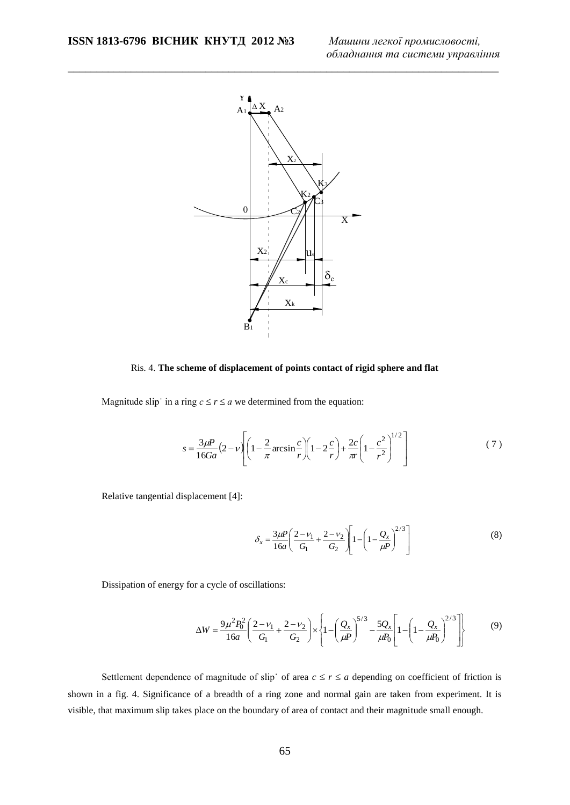

\_\_\_\_\_\_\_\_\_\_\_\_\_\_\_\_\_\_\_\_\_\_\_\_\_\_\_\_\_\_\_\_\_\_\_\_\_\_\_\_\_\_\_\_\_\_\_\_\_\_\_\_\_\_\_\_\_\_\_\_\_\_\_\_\_\_\_\_\_\_\_\_\_\_\_

Ris. 4. **The scheme of displacement of points contact of rigid sphere and flat**

Magnitude slip in a ring  $c \le r \le a$  we determined from the equation:

$$
s = \frac{3\mu P}{16Ga} \left(2 - v \left[ \left(1 - \frac{2}{\pi} \arcsin \frac{c}{r} \right) \left(1 - 2\frac{c}{r}\right) + \frac{2c}{\pi} \left(1 - \frac{c^2}{r^2}\right)^{1/2} \right] \tag{7}
$$

Relative tangential displacement [4]:

$$
\delta_x = \frac{3\mu P}{16a} \left( \frac{2 - v_1}{G_1} + \frac{2 - v_2}{G_2} \right) \left[ 1 - \left( 1 - \frac{Q_x}{\mu P} \right)^{2/3} \right] \tag{8}
$$

Dissipation of energy for a cycle of oscillations:

$$
\Delta W = \frac{9\mu^2 P_0^2}{16a} \left( \frac{2 - v_1}{G_1} + \frac{2 - v_2}{G_2} \right) \times \left\{ 1 - \left( \frac{Q_x}{\mu P} \right)^{5/3} - \frac{5Q_x}{\mu P_0} \left[ 1 - \left( 1 - \frac{Q_x}{\mu P_0} \right)^{2/3} \right] \right\}
$$
(9)

Settlement dependence of magnitude of slip of area  $c \le r \le a$  depending on coefficient of friction is shown in a fig. 4. Significance of a breadth of a ring zone and normal gain are taken from experiment. It is visible, that maximum slip takes place on the boundary of area of contact and their magnitude small enough.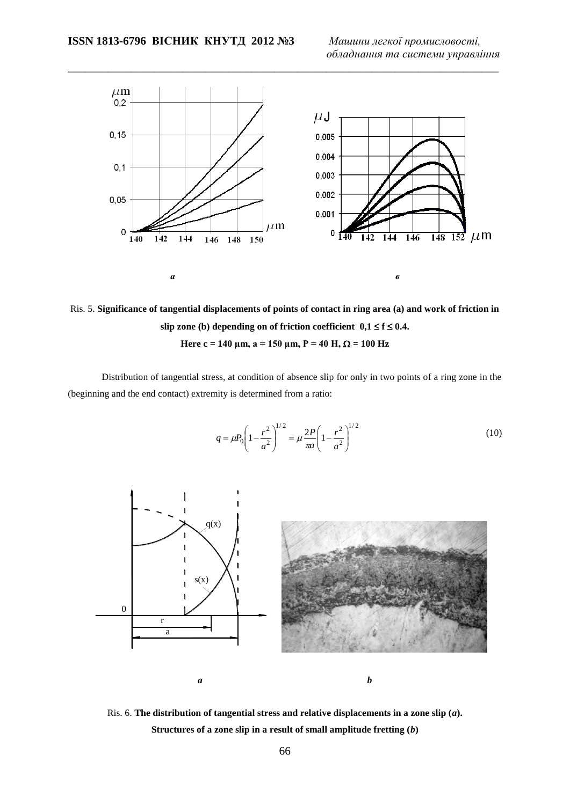

\_\_\_\_\_\_\_\_\_\_\_\_\_\_\_\_\_\_\_\_\_\_\_\_\_\_\_\_\_\_\_\_\_\_\_\_\_\_\_\_\_\_\_\_\_\_\_\_\_\_\_\_\_\_\_\_\_\_\_\_\_\_\_\_\_\_\_\_\_\_\_\_\_\_\_

Ris. 5. **Significance of tangential displacements of points of contact in ring area (a) and work of friction in**  slip zone (b) depending on of friction coefficient  $0,1 \le f \le 0.4$ . **Here c = 140**  $\mu$ m, a = 150  $\mu$ m, P = 40 H,  $\Omega$  = 100 Hz

Distribution of tangential stress, at condition of absence slip for only in two points of a ring zone in the (beginning and the end contact) extremity is determined from a ratio:

$$
q = \mu_0 \left( 1 - \frac{r^2}{a^2} \right)^{1/2} = \mu \frac{2P}{\pi a} \left( 1 - \frac{r^2}{a^2} \right)^{1/2}
$$
 (10)



Ris. 6. **The distribution of tangential stress and relative displacements in a zone slip (***a***). Structures of a zone slip in a result of small amplitude fretting (***b***)**